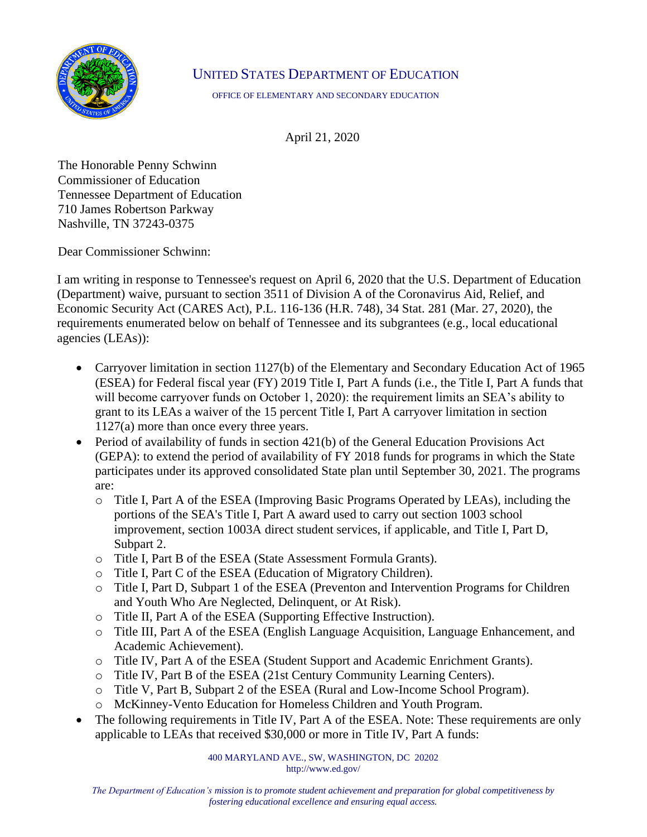

## UNITED STATES DEPARTMENT OF EDUCATION

OFFICE OF ELEMENTARY AND SECONDARY EDUCATION

April 21, 2020

The Honorable Penny Schwinn Commissioner of Education Tennessee Department of Education 710 James Robertson Parkway Nashville, TN 37243-0375

Dear Commissioner Schwinn:

I am writing in response to Tennessee's request on April 6, 2020 that the U.S. Department of Education (Department) waive, pursuant to section 3511 of Division A of the Coronavirus Aid, Relief, and Economic Security Act (CARES Act), P.L. 116-136 (H.R. 748), 34 Stat. 281 (Mar. 27, 2020), the requirements enumerated below on behalf of Tennessee and its subgrantees (e.g., local educational agencies (LEAs)):

- Carryover limitation in section 1127(b) of the Elementary and Secondary Education Act of 1965 (ESEA) for Federal fiscal year (FY) 2019 Title I, Part A funds (i.e., the Title I, Part A funds that will become carryover funds on October 1, 2020): the requirement limits an SEA's ability to grant to its LEAs a waiver of the 15 percent Title I, Part A carryover limitation in section 1127(a) more than once every three years.
- Period of availability of funds in section 421(b) of the General Education Provisions Act (GEPA): to extend the period of availability of FY 2018 funds for programs in which the State participates under its approved consolidated State plan until September 30, 2021. The programs are:
	- o Title I, Part A of the ESEA (Improving Basic Programs Operated by LEAs), including the portions of the SEA's Title I, Part A award used to carry out section 1003 school improvement, section 1003A direct student services, if applicable, and Title I, Part D, Subpart 2.
	- o Title I, Part B of the ESEA (State Assessment Formula Grants).
	- o Title I, Part C of the ESEA (Education of Migratory Children).
	- o Title I, Part D, Subpart 1 of the ESEA (Preventon and Intervention Programs for Children and Youth Who Are Neglected, Delinquent, or At Risk).
	- o Title II, Part A of the ESEA (Supporting Effective Instruction).
	- o Title III, Part A of the ESEA (English Language Acquisition, Language Enhancement, and Academic Achievement).
	- o Title IV, Part A of the ESEA (Student Support and Academic Enrichment Grants).
	- o Title IV, Part B of the ESEA (21st Century Community Learning Centers).
	- o Title V, Part B, Subpart 2 of the ESEA (Rural and Low-Income School Program).
	- o McKinney-Vento Education for Homeless Children and Youth Program.
- The following requirements in Title IV, Part A of the ESEA. Note: These requirements are only applicable to LEAs that received \$30,000 or more in Title IV, Part A funds:

400 MARYLAND AVE., SW, WASHINGTON, DC 20202 http://www.ed.gov/